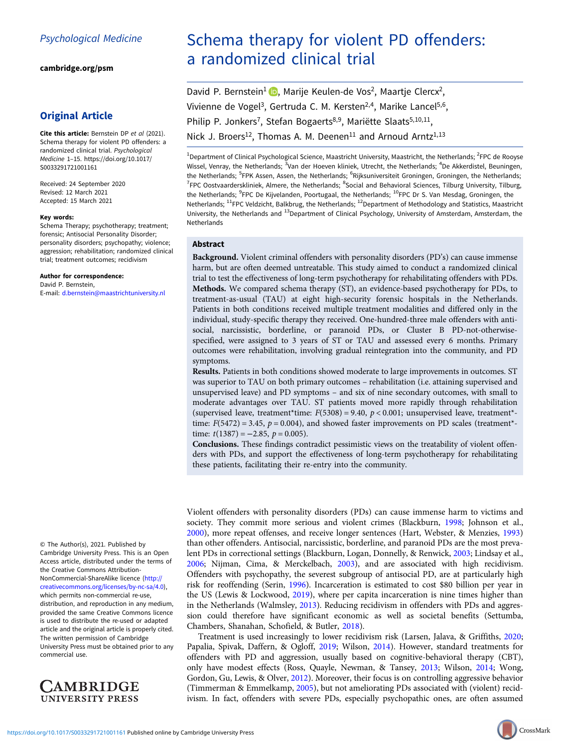[cambridge.org/psm](https://www.cambridge.org/psm)

# Original Article

Cite this article: Bernstein DP et al (2021). Schema therapy for violent PD offenders: a randomized clinical trial. Psychological Medicine 1–15. [https://doi.org/10.1017/](https://doi.org/10.1017/S0033291721001161) [S0033291721001161](https://doi.org/10.1017/S0033291721001161)

Received: 24 September 2020 Revised: 12 March 2021 Accepted: 15 March 2021

#### Key words:

Schema Therapy; psychotherapy; treatment; forensic; Antisocial Personality Disorder; personality disorders; psychopathy; violence; aggression; rehabilitation; randomized clinical trial; treatment outcomes; recidivism

#### Author for correspondence:

David P. Bernstein, E-mail: [d.bernstein@maastrichtuniversity.nl](mailto:d.bernstein@maastrichtuniversity.nl)

© The Author(s), 2021. Published by Cambridge University Press. This is an Open Access article, distributed under the terms of the Creative Commons Attribution-NonCommercial-ShareAlike licence [\(http://](http://creativecommons.org/licenses/by-nc-sa/4.0) [creativecommons.org/licenses/by-nc-sa/4.0\)](http://creativecommons.org/licenses/by-nc-sa/4.0), which permits non-commercial re-use, distribution, and reproduction in any medium, provided the same Creative Commons licence is used to distribute the re-used or adapted article and the original article is properly cited. The written permission of Cambridge University Press must be obtained prior to any commercial use.



# Schema therapy for violent PD offenders: a randomized clinical trial

David P. Bernstein<sup>1</sup> D. Marije Keulen-de Vos<sup>2</sup>[,](https://orcid.org/0000-0003-1397-0615) Maartje Clercx<sup>2</sup>, Vivienne de Vogel<sup>3</sup>, Gertruda C. M. Kersten<sup>2,4</sup>, Marike Lancel<sup>5,6</sup>, Philip P. Jonkers<sup>7</sup>, Stefan Bogaerts<sup>8,9</sup>, Mariëtte Slaats<sup>5,10,11</sup>, Nick J. Broers<sup>12</sup>, Thomas A. M. Deenen<sup>11</sup> and Arnoud Arntz<sup>1,13</sup>

<sup>1</sup>Department of Clinical Psychological Science, Maastricht University, Maastricht, the Netherlands; <sup>2</sup>FPC de Rooyse Wissel, Venray, the Netherlands; <sup>3</sup>Van der Hoeven kliniek, Utrecht, the Netherlands; <sup>4</sup>De Akkerdistel, Beuningen, the Netherlands; <sup>5</sup>FPK Assen, Assen, the Netherlands; <sup>6</sup>Rijksuniversiteit Groningen, Groningen, the Netherlands; <sup>7</sup>FPC Oostvaarderskliniek, Almere, the Netherlands; <sup>8</sup>Social and Behavioral Sciences, Tilburg University, Tilburg the Netherlands; <sup>9</sup>FPC De Kijvelanden, Poortugaal, the Netherlands; <sup>10</sup>FPC Dr S. Van Mesdag, Groningen, the Netherlands; <sup>11</sup>FPC Veldzicht, Balkbrug, the Netherlands; <sup>12</sup>Department of Methodology and Statistics, Maastricht University, the Netherlands and <sup>13</sup>Department of Clinical Psychology, University of Amsterdam, Amsterdam, the Netherlands

## Abstract

Background. Violent criminal offenders with personality disorders (PD's) can cause immense harm, but are often deemed untreatable. This study aimed to conduct a randomized clinical trial to test the effectiveness of long-term psychotherapy for rehabilitating offenders with PDs. Methods. We compared schema therapy (ST), an evidence-based psychotherapy for PDs, to treatment-as-usual (TAU) at eight high-security forensic hospitals in the Netherlands. Patients in both conditions received multiple treatment modalities and differed only in the individual, study-specific therapy they received. One-hundred-three male offenders with antisocial, narcissistic, borderline, or paranoid PDs, or Cluster B PD-not-otherwisespecified, were assigned to 3 years of ST or TAU and assessed every 6 months. Primary outcomes were rehabilitation, involving gradual reintegration into the community, and PD symptoms.

Results. Patients in both conditions showed moderate to large improvements in outcomes. ST was superior to TAU on both primary outcomes – rehabilitation (i.e. attaining supervised and unsupervised leave) and PD symptoms – and six of nine secondary outcomes, with small to moderate advantages over TAU. ST patients moved more rapidly through rehabilitation (supervised leave, treatment\*time:  $F(5308) = 9.40$ ,  $p < 0.001$ ; unsupervised leave, treatment\*time:  $F(5472) = 3.45$ ,  $p = 0.004$ ), and showed faster improvements on PD scales (treatment<sup>\*</sup>time:  $t(1387) = -2.85$ ,  $p = 0.005$ ).

Conclusions. These findings contradict pessimistic views on the treatability of violent offenders with PDs, and support the effectiveness of long-term psychotherapy for rehabilitating these patients, facilitating their re-entry into the community.

Violent offenders with personality disorders (PDs) can cause immense harm to victims and society. They commit more serious and violent crimes (Blackburn, [1998;](#page-12-0) Johnson et al., [2000\)](#page-13-0), more repeat offenses, and receive longer sentences (Hart, Webster, & Menzies, [1993](#page-13-0)) than other offenders. Antisocial, narcissistic, borderline, and paranoid PDs are the most prevalent PDs in correctional settings (Blackburn, Logan, Donnelly, & Renwick, [2003;](#page-12-0) Lindsay et al., [2006;](#page-13-0) Nijman, Cima, & Merckelbach, [2003\)](#page-13-0), and are associated with high recidivism. Offenders with psychopathy, the severest subgroup of antisocial PD, are at particularly high risk for reoffending (Serin, [1996\)](#page-14-0). Incarceration is estimated to cost \$80 billion per year in the US (Lewis & Lockwood, [2019\)](#page-13-0), where per capita incarceration is nine times higher than in the Netherlands (Walmsley, [2013](#page-14-0)). Reducing recidivism in offenders with PDs and aggression could therefore have significant economic as well as societal benefits (Settumba, Chambers, Shanahan, Schofield, & Butler, [2018\)](#page-14-0).

Treatment is used increasingly to lower recidivism risk (Larsen, Jalava, & Griffiths, [2020](#page-13-0); Papalia, Spivak, Daffern, & Ogloff, [2019](#page-13-0); Wilson, [2014\)](#page-14-0). However, standard treatments for offenders with PD and aggression, usually based on cognitive-behavioral therapy (CBT), only have modest effects (Ross, Quayle, Newman, & Tansey, [2013](#page-13-0); Wilson, [2014;](#page-14-0) Wong, Gordon, Gu, Lewis, & Olver, [2012](#page-14-0)). Moreover, their focus is on controlling aggressive behavior (Timmerman & Emmelkamp, [2005\)](#page-14-0), but not ameliorating PDs associated with (violent) recidivism. In fact, offenders with severe PDs, especially psychopathic ones, are often assumed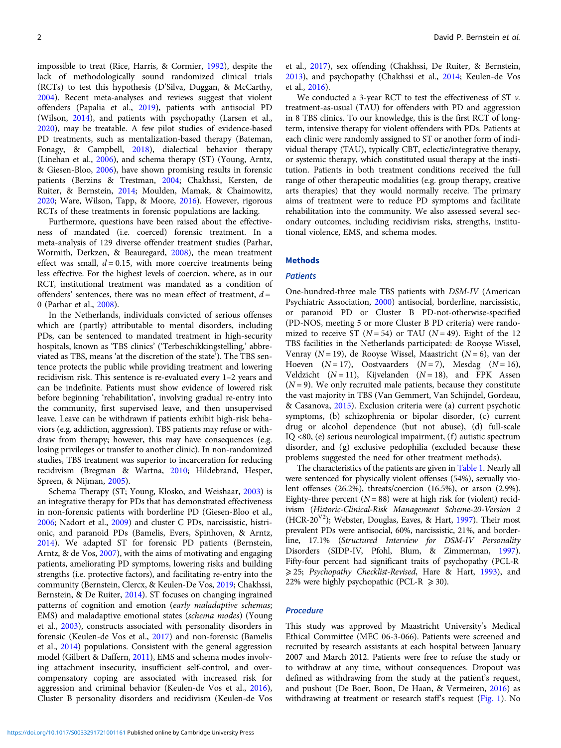impossible to treat (Rice, Harris, & Cormier, [1992\)](#page-13-0), despite the lack of methodologically sound randomized clinical trials (RCTs) to test this hypothesis (D'Silva, Duggan, & McCarthy, [2004\)](#page-13-0). Recent meta-analyses and reviews suggest that violent offenders (Papalia et al., [2019](#page-13-0)), patients with antisocial PD (Wilson, [2014](#page-14-0)), and patients with psychopathy (Larsen et al., [2020\)](#page-13-0), may be treatable. A few pilot studies of evidence-based PD treatments, such as mentalization-based therapy (Bateman, Fonagy, & Campbell, [2018\)](#page-12-0), dialectical behavior therapy (Linehan et al., [2006](#page-13-0)), and schema therapy (ST) (Young, Arntz, & Giesen-Bloo, [2006](#page-14-0)), have shown promising results in forensic patients (Berzins & Trestman, [2004](#page-12-0); Chakhssi, Kersten, de Ruiter, & Bernstein, [2014;](#page-13-0) Moulden, Mamak, & Chaimowitz, [2020;](#page-13-0) Ware, Wilson, Tapp, & Moore, [2016\)](#page-14-0). However, rigorous RCTs of these treatments in forensic populations are lacking.

Furthermore, questions have been raised about the effectiveness of mandated (i.e. coerced) forensic treatment. In a meta-analysis of 129 diverse offender treatment studies (Parhar, Wormith, Derkzen, & Beauregard, [2008](#page-13-0)), the mean treatment effect was small,  $d = 0.15$ , with more coercive treatments being less effective. For the highest levels of coercion, where, as in our RCT, institutional treatment was mandated as a condition of offenders' sentences, there was no mean effect of treatment,  $d =$ 0 (Parhar et al., [2008](#page-13-0)).

In the Netherlands, individuals convicted of serious offenses which are (partly) attributable to mental disorders, including PDs, can be sentenced to mandated treatment in high-security hospitals, known as 'TBS clinics' ('Terbeschikkingstelling,' abbreviated as TBS, means 'at the discretion of the state'). The TBS sentence protects the public while providing treatment and lowering recidivism risk. This sentence is re-evaluated every 1–2 years and can be indefinite. Patients must show evidence of lowered risk before beginning 'rehabilitation', involving gradual re-entry into the community, first supervised leave, and then unsupervised leave. Leave can be withdrawn if patients exhibit high-risk behaviors (e.g. addiction, aggression). TBS patients may refuse or withdraw from therapy; however, this may have consequences (e.g. losing privileges or transfer to another clinic). In non-randomized studies, TBS treatment was superior to incarceration for reducing recidivism (Bregman & Wartna, [2010](#page-12-0); Hildebrand, Hesper, Spreen, & Nijman, [2005](#page-13-0)).

Schema Therapy (ST; Young, Klosko, and Weishaar, [2003\)](#page-14-0) is an integrative therapy for PDs that has demonstrated effectiveness in non-forensic patients with borderline PD (Giesen-Bloo et al., [2006;](#page-13-0) Nadort et al., [2009](#page-13-0)) and cluster C PDs, narcissistic, histrionic, and paranoid PDs (Bamelis, Evers, Spinhoven, & Arntz, [2014\)](#page-12-0). We adapted ST for forensic PD patients (Bernstein, Arntz, & de Vos, [2007\)](#page-12-0), with the aims of motivating and engaging patients, ameliorating PD symptoms, lowering risks and building strengths (i.e. protective factors), and facilitating re-entry into the community (Bernstein, Clercx, & Keulen-De Vos, [2019](#page-12-0); Chakhssi, Bernstein, & De Ruiter, [2014\)](#page-12-0). ST focuses on changing ingrained patterns of cognition and emotion (early maladaptive schemas; EMS) and maladaptive emotional states (schema modes) (Young et al., [2003\)](#page-14-0), constructs associated with personality disorders in forensic (Keulen-de Vos et al., [2017\)](#page-13-0) and non-forensic (Bamelis et al., [2014](#page-12-0)) populations. Consistent with the general aggression model (Gilbert & Daffern, [2011](#page-13-0)), EMS and schema modes involving attachment insecurity, insufficient self-control, and overcompensatory coping are associated with increased risk for aggression and criminal behavior (Keulen-de Vos et al., [2016\)](#page-13-0), Cluster B personality disorders and recidivism (Keulen-de Vos et al., [2017\)](#page-13-0), sex offending (Chakhssi, De Ruiter, & Bernstein, [2013\)](#page-12-0), and psychopathy (Chakhssi et al., [2014](#page-12-0); Keulen-de Vos et al., [2016](#page-13-0)).

We conducted a 3-year RCT to test the effectiveness of ST  $\nu$ . treatment-as-usual (TAU) for offenders with PD and aggression in 8 TBS clinics. To our knowledge, this is the first RCT of longterm, intensive therapy for violent offenders with PDs. Patients at each clinic were randomly assigned to ST or another form of individual therapy (TAU), typically CBT, eclectic/integrative therapy, or systemic therapy, which constituted usual therapy at the institution. Patients in both treatment conditions received the full range of other therapeutic modalities (e.g. group therapy, creative arts therapies) that they would normally receive. The primary aims of treatment were to reduce PD symptoms and facilitate rehabilitation into the community. We also assessed several secondary outcomes, including recidivism risks, strengths, institutional violence, EMS, and schema modes.

#### **Methods**

#### **Patients**

One-hundred-three male TBS patients with DSM-IV (American Psychiatric Association, [2000](#page-12-0)) antisocial, borderline, narcissistic, or paranoid PD or Cluster B PD-not-otherwise-specified (PD-NOS, meeting 5 or more Cluster B PD criteria) were randomized to receive ST ( $N = 54$ ) or TAU ( $N = 49$ ). Eight of the 12 TBS facilities in the Netherlands participated: de Rooyse Wissel, Venray ( $N = 19$ ), de Rooyse Wissel, Maastricht ( $N = 6$ ), van der Hoeven  $(N = 17)$ , Oostvaarders  $(N = 7)$ , Mesdag  $(N = 16)$ , Veldzicht ( $N = 11$ ), Kijvelanden ( $N = 18$ ), and FPK Assen  $(N = 9)$ . We only recruited male patients, because they constitute the vast majority in TBS (Van Gemmert, Van Schijndel, Gordeau, & Casanova, [2015](#page-14-0)). Exclusion criteria were (a) current psychotic symptoms, (b) schizophrenia or bipolar disorder, (c) current drug or alcohol dependence (but not abuse), (d) full-scale IQ <80, (e) serious neurological impairment, (f) autistic spectrum disorder, and (g) exclusive pedophilia (excluded because these problems suggested the need for other treatment methods).

The characteristics of the patients are given in [Table 1.](#page-2-0) Nearly all were sentenced for physically violent offenses (54%), sexually violent offenses (26.2%), threats/coercion (16.5%), or arson (2.9%). Eighty-three percent  $(N = 88)$  were at high risk for (violent) recidivism (Historic-Clinical-Risk Management Scheme-20-Version 2 (HCR-20<sup>V2</sup>); Webster, Douglas, Eaves, & Hart, [1997](#page-14-0)). Their most prevalent PDs were antisocial, 60%, narcissistic, 21%, and borderline, 17.1% (Structured Interview for DSM-IV Personality Disorders (SIDP-IV, Pfohl, Blum, & Zimmerman, [1997](#page-13-0)). Fifty-four percent had significant traits of psychopathy (PCL-R ≥ 25; Psychopathy Checklist-Revised, Hare & Hart, [1993\)](#page-13-0), and 22% were highly psychopathic (PCL-R  $\geq$  30).

#### Procedure

This study was approved by Maastricht University's Medical Ethical Committee (MEC 06-3-066). Patients were screened and recruited by research assistants at each hospital between January 2007 and March 2012. Patients were free to refuse the study or to withdraw at any time, without consequences. Dropout was defined as withdrawing from the study at the patient's request, and pushout (De Boer, Boon, De Haan, & Vermeiren, [2016](#page-13-0)) as withdrawing at treatment or research staff's request [\(Fig. 1](#page-4-0)). No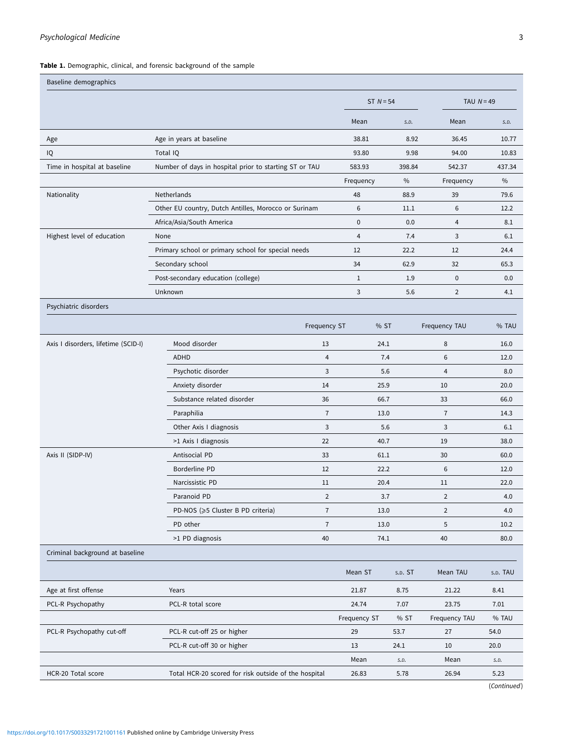<span id="page-2-0"></span>Table 1. Demographic, clinical, and forensic background of the sample

| Baseline demographics               |                                                        |                     |             |         |                |             |
|-------------------------------------|--------------------------------------------------------|---------------------|-------------|---------|----------------|-------------|
|                                     |                                                        |                     | ST $N = 54$ |         | TAU $N = 49$   |             |
|                                     |                                                        | Mean                |             | S.D.    | Mean           | S.D.        |
| Age                                 | Age in years at baseline                               |                     | 38.81       | 8.92    | 36.45          | 10.77       |
| IQ                                  | Total IQ                                               |                     | 93.80       | 9.98    | 94.00          | 10.83       |
| Time in hospital at baseline        | Number of days in hospital prior to starting ST or TAU | 583.93              |             | 398.84  | 542.37         | 437.34      |
|                                     |                                                        | Frequency           |             | $\%$    | Frequency      | $\%$        |
| Nationality                         | Netherlands                                            | 48                  |             | 88.9    | 39             | 79.6        |
|                                     | Other EU country, Dutch Antilles, Morocco or Surinam   | 6                   |             | 11.1    | 6              | 12.2        |
|                                     | Africa/Asia/South America                              | $\pmb{0}$           |             | 0.0     | $\overline{4}$ | 8.1         |
| Highest level of education          | None                                                   | $\overline{4}$      |             | 7.4     | 3              | 6.1         |
|                                     | Primary school or primary school for special needs     | 12                  |             | 22.2    | 12             | 24.4        |
|                                     | Secondary school                                       | 34                  |             | 62.9    | 32             | 65.3        |
|                                     | Post-secondary education (college)                     | $\mathbf{1}$        |             | 1.9     | $\pmb{0}$      | 0.0         |
|                                     | Unknown                                                | 3                   |             | 5.6     | $\overline{2}$ | 4.1         |
| Psychiatric disorders               |                                                        |                     |             |         |                |             |
|                                     |                                                        | <b>Frequency ST</b> | % ST        |         | Frequency TAU  | % TAU       |
| Axis I disorders, lifetime (SCID-I) | Mood disorder                                          | 13                  | 24.1        |         | 8              | 16.0        |
|                                     | ADHD                                                   | $\overline{4}$      | 7.4         |         | 6              | 12.0        |
|                                     | Psychotic disorder                                     | 3                   | 5.6         |         | 4              | 8.0         |
|                                     | Anxiety disorder                                       | 14                  | 25.9        |         | 10             | 20.0        |
|                                     | Substance related disorder                             | 36                  | 66.7        |         | 33             | 66.0        |
|                                     | Paraphilia                                             | $\overline{7}$      | 13.0        |         | $\overline{7}$ | 14.3        |
|                                     | Other Axis I diagnosis                                 | 3                   | 5.6         |         | 3              | 6.1         |
|                                     | >1 Axis I diagnosis                                    | 22                  | 40.7        |         | 19             | 38.0        |
| Axis II (SIDP-IV)                   | Antisocial PD                                          | 33                  | 61.1        |         | 30             | 60.0        |
|                                     | Borderline PD                                          | 12                  | 22.2        |         | 6              | 12.0        |
|                                     | Narcissistic PD                                        | 11                  | 20.4        |         | 11             | 22.0        |
|                                     | Paranoid PD                                            | $\overline{2}$      | 3.7         |         | $\overline{2}$ | 4.0         |
|                                     | PD-NOS (≥5 Cluster B PD criteria)                      | $\overline{7}$      | 13.0        |         | $\overline{2}$ | 4.0         |
|                                     | PD other                                               | $\overline{7}$      | 13.0        |         | 5              | 10.2        |
|                                     | >1 PD diagnosis                                        | 40                  | 74.1        |         | 40             | 80.0        |
| Criminal background at baseline     |                                                        |                     |             |         |                |             |
|                                     |                                                        | Mean ST             |             | s.p. ST | Mean TAU       | S.D. TAU    |
| Age at first offense                | Years                                                  | 21.87               |             | 8.75    | 21.22          | 8.41        |
| PCL-R Psychopathy                   | PCL-R total score                                      | 24.74               |             | 7.07    | 23.75          | 7.01        |
|                                     |                                                        | Frequency ST        |             | % ST    | Frequency TAU  | % TAU       |
| PCL-R Psychopathy cut-off           | PCL-R cut-off 25 or higher                             | 29                  |             | 53.7    | 27             | 54.0        |
|                                     | PCL-R cut-off 30 or higher                             | 13                  |             | 24.1    | 10             | 20.0        |
|                                     |                                                        | Mean                |             | S.D.    | Mean           | S.D.        |
| HCR-20 Total score                  | Total HCR-20 scored for risk outside of the hospital   | 26.83               |             | 5.78    | 26.94          | 5.23        |
|                                     |                                                        |                     |             |         |                | (Continued) |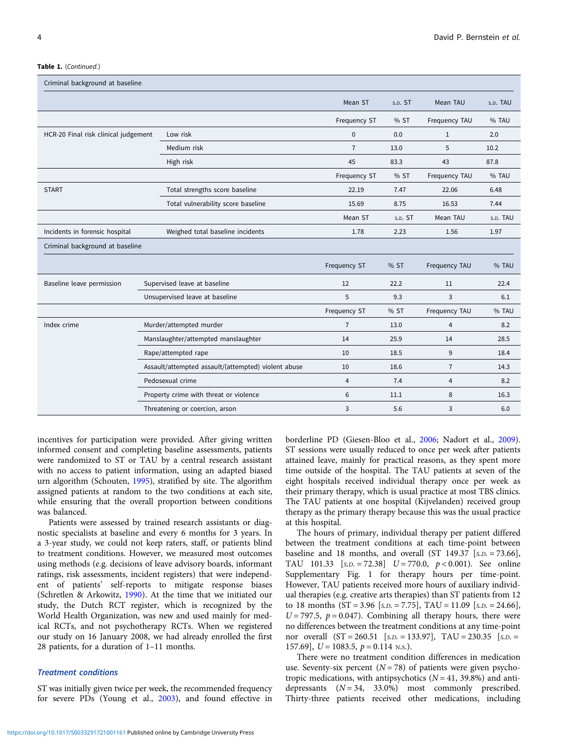#### Table 1. (Continued.)

| Criminal background at baseline      |  |                                                     |                |         |                |          |
|--------------------------------------|--|-----------------------------------------------------|----------------|---------|----------------|----------|
|                                      |  |                                                     | Mean ST        | s.p. ST | Mean TAU       | s.p. TAU |
|                                      |  |                                                     | Frequency ST   | % ST    | Frequency TAU  | % TAU    |
| HCR-20 Final risk clinical judgement |  | Low risk                                            | $\mathbf{0}$   | 0.0     | 1              | 2.0      |
|                                      |  | Medium risk                                         | $\overline{7}$ | 13.0    | 5              | 10.2     |
|                                      |  | High risk                                           | 45             | 83.3    | 43             | 87.8     |
|                                      |  |                                                     | Frequency ST   | % ST    | Frequency TAU  | % TAU    |
| <b>START</b>                         |  | Total strengths score baseline                      | 22.19          | 7.47    | 22.06          | 6.48     |
|                                      |  | Total vulnerability score baseline                  | 15.69          | 8.75    | 16.53          | 7.44     |
|                                      |  |                                                     | Mean ST        | s.p. ST | Mean TAU       | s.p. TAU |
| Incidents in forensic hospital       |  | Weighed total baseline incidents                    | 1.78           | 2.23    | 1.56           | 1.97     |
| Criminal background at baseline      |  |                                                     |                |         |                |          |
|                                      |  |                                                     | Frequency ST   | % ST    | Frequency TAU  | % TAU    |
| Baseline leave permission            |  | Supervised leave at baseline                        | 12             | 22.2    | 11             | 22.4     |
|                                      |  | Unsupervised leave at baseline                      | 5              | 9.3     | 3              | 6.1      |
|                                      |  |                                                     | Frequency ST   | % ST    | Frequency TAU  | % TAU    |
| Index crime                          |  | Murder/attempted murder                             | $\overline{7}$ | 13.0    | $\overline{4}$ | 8.2      |
|                                      |  | Manslaughter/attempted manslaughter                 | 14             | 25.9    | 14             | 28.5     |
|                                      |  | Rape/attempted rape                                 | 10             | 18.5    | 9              | 18.4     |
|                                      |  | Assault/attempted assault/(attempted) violent abuse | 10             | 18.6    | $\overline{7}$ | 14.3     |
|                                      |  | Pedosexual crime                                    | $\overline{4}$ | 7.4     | 4              | 8.2      |
|                                      |  | Property crime with threat or violence              | 6              | 11.1    | 8              | 16.3     |
|                                      |  | Threatening or coercion, arson                      | 3              | 5.6     | 3              | 6.0      |

incentives for participation were provided. After giving written informed consent and completing baseline assessments, patients were randomized to ST or TAU by a central research assistant with no access to patient information, using an adapted biased urn algorithm (Schouten, [1995\)](#page-14-0), stratified by site. The algorithm assigned patients at random to the two conditions at each site, while ensuring that the overall proportion between conditions was balanced.

Patients were assessed by trained research assistants or diagnostic specialists at baseline and every 6 months for 3 years. In a 3-year study, we could not keep raters, staff, or patients blind to treatment conditions. However, we measured most outcomes using methods (e.g. decisions of leave advisory boards, informant ratings, risk assessments, incident registers) that were independent of patients' self-reports to mitigate response biases (Schretlen & Arkowitz, [1990\)](#page-14-0). At the time that we initiated our study, the Dutch RCT register, which is recognized by the World Health Organization, was new and used mainly for medical RCTs, and not psychotherapy RCTs. When we registered our study on 16 January 2008, we had already enrolled the first 28 patients, for a duration of 1–11 months.

## Treatment conditions

ST was initially given twice per week, the recommended frequency for severe PDs (Young et al., [2003](#page-14-0)), and found effective in borderline PD (Giesen-Bloo et al., [2006;](#page-13-0) Nadort et al., [2009](#page-13-0)). ST sessions were usually reduced to once per week after patients attained leave, mainly for practical reasons, as they spent more time outside of the hospital. The TAU patients at seven of the eight hospitals received individual therapy once per week as their primary therapy, which is usual practice at most TBS clinics. The TAU patients at one hospital (Kijvelanden) received group therapy as the primary therapy because this was the usual practice at this hospital.

The hours of primary, individual therapy per patient differed between the treatment conditions at each time-point between baseline and 18 months, and overall  $(ST\ 149.37 \ [s.D. = 73.66]$ , TAU 101.33  $[s.D. = 72.38]$   $U = 770.0, p < 0.001$ ). See online Supplementary Fig. 1 for therapy hours per time-point. However, TAU patients received more hours of auxiliary individual therapies (e.g. creative arts therapies) than ST patients from 12 to 18 months  $(ST = 3.96$  [s.*p.* = 7.75], TAU = 11.09 [s.*p.* = 24.66],  $U = 797.5$ ,  $p = 0.047$ ). Combining all therapy hours, there were no differences between the treatment conditions at any time-point nor overall  $(ST = 260.51$  [s.*p.* = 133.97], TAU = 230.35 [s.*p.* = 157.69],  $U = 1083.5$ ,  $p = 0.114$  N.S.).

There were no treatment condition differences in medication use. Seventy-six percent  $(N = 78)$  of patients were given psychotropic medications, with antipsychotics  $(N = 41, 39.8%)$  and antidepressants  $(N = 34, 33.0%)$  most commonly prescribed. Thirty-three patients received other medications, including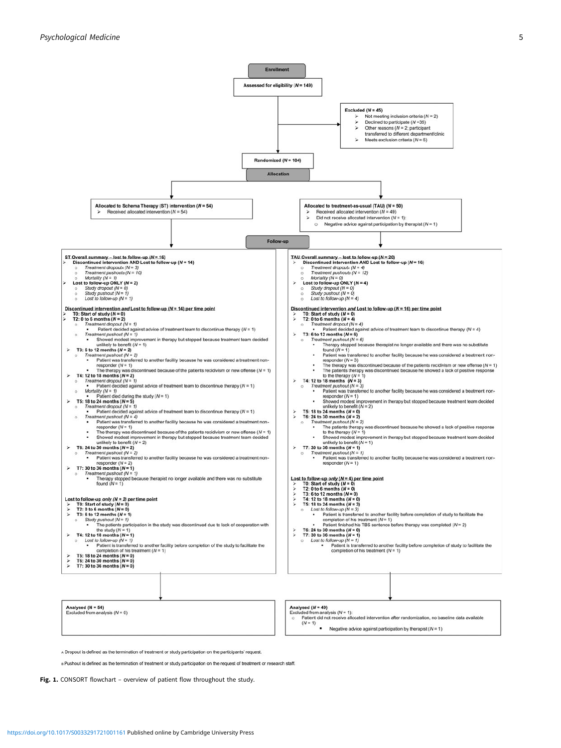<span id="page-4-0"></span>

A Dropout is defined as the termination of treatment or study participation on the participants' request.

a Pushout is defined as the termination of treatment or study participation on the request of treatment or research staff.

Fig. 1. CONSORT flowchart - overview of patient flow throughout the study.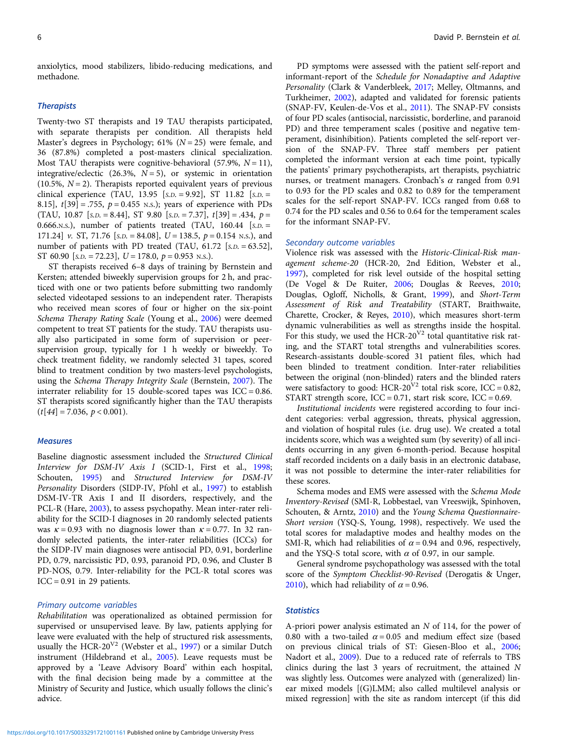anxiolytics, mood stabilizers, libido-reducing medications, and methadone.

## **Therapists**

Twenty-two ST therapists and 19 TAU therapists participated, with separate therapists per condition. All therapists held Master's degrees in Psychology; 61% ( $N = 25$ ) were female, and 36 (87.8%) completed a post-masters clinical specialization. Most TAU therapists were cognitive-behavioral (57.9%,  $N = 11$ ), integrative/eclectic (26.3%,  $N = 5$ ), or systemic in orientation (10.5%,  $N = 2$ ). Therapists reported equivalent years of previous clinical experience (TAU, 13.95  $[s.D. = 9.92]$ , ST 11.82  $[s.D. =$ 8.15],  $t[39] = .755$ ,  $p = 0.455$  N.s.); years of experience with PDs (TAU, 10.87 [s.p. = 8.44], ST 9.80 [s.p. = 7.37],  $t[39] = .434$ ,  $p =$ 0.666.N.S.), number of patients treated (TAU,  $160.44$  [s.D. = 171.24] v. ST, 71.76 [s.  $D = 84.08$ ],  $U = 138.5$ ,  $p = 0.154$  N.s.), and number of patients with PD treated (TAU,  $61.72$  [s.p. = 63.52], ST 60.90  $[s.D. = 72.23]$ ,  $U = 178.0$ ,  $p = 0.953$  N.s.).

ST therapists received 6–8 days of training by Bernstein and Kersten; attended biweekly supervision groups for 2 h, and practiced with one or two patients before submitting two randomly selected videotaped sessions to an independent rater. Therapists who received mean scores of four or higher on the six-point Schema Therapy Rating Scale (Young et al., [2006\)](#page-14-0) were deemed competent to treat ST patients for the study. TAU therapists usually also participated in some form of supervision or peersupervision group, typically for 1 h weekly or biweekly. To check treatment fidelity, we randomly selected 31 tapes, scored blind to treatment condition by two masters-level psychologists, using the Schema Therapy Integrity Scale (Bernstein, [2007](#page-12-0)). The interrater reliability for 15 double-scored tapes was  $ICC = 0.86$ . ST therapists scored significantly higher than the TAU therapists  $(t[44] = 7.036, p < 0.001).$ 

#### **Measures**

Baseline diagnostic assessment included the Structured Clinical Interview for DSM-IV Axis I (SCID-1, First et al., [1998](#page-13-0); Schouten, [1995](#page-14-0)) and Structured Interview for DSM-IV Personality Disorders (SIDP-IV, Pfohl et al., [1997](#page-13-0)) to establish DSM-IV-TR Axis I and II disorders, respectively, and the PCL-R (Hare, [2003\)](#page-13-0), to assess psychopathy. Mean inter-rater reliability for the SCID-I diagnoses in 20 randomly selected patients was  $\kappa = 0.93$  with no diagnosis lower than  $\kappa = 0.77$ . In 32 randomly selected patients, the inter-rater reliabilities (ICCs) for the SIDP-IV main diagnoses were antisocial PD, 0.91, borderline PD, 0.79, narcissistic PD, 0.93, paranoid PD, 0.96, and Cluster B PD-NOS, 0.79. Inter-reliability for the PCL-R total scores was  $ICC = 0.91$  in 29 patients.

## Primary outcome variables

Rehabilitation was operationalized as obtained permission for supervised or unsupervised leave. By law, patients applying for leave were evaluated with the help of structured risk assessments, usually the HCR-20<sup>V2</sup> (Webster et al., [1997\)](#page-14-0) or a similar Dutch instrument (Hildebrand et al., [2005](#page-13-0)). Leave requests must be approved by a 'Leave Advisory Board' within each hospital, with the final decision being made by a committee at the Ministry of Security and Justice, which usually follows the clinic's advice.

PD symptoms were assessed with the patient self-report and informant-report of the Schedule for Nonadaptive and Adaptive Personality (Clark & Vanderbleek, [2017](#page-13-0); Melley, Oltmanns, and Turkheimer, [2002](#page-13-0)), adapted and validated for forensic patients (SNAP-FV, Keulen-de-Vos et al., [2011\)](#page-13-0). The SNAP-FV consists of four PD scales (antisocial, narcissistic, borderline, and paranoid PD) and three temperament scales (positive and negative temperament, disinhibition). Patients completed the self-report version of the SNAP-FV. Three staff members per patient completed the informant version at each time point, typically the patients' primary psychotherapists, art therapists, psychiatric nurses, or treatment managers. Cronbach's  $\alpha$  ranged from 0.91 to 0.93 for the PD scales and 0.82 to 0.89 for the temperament scales for the self-report SNAP-FV. ICCs ranged from 0.68 to 0.74 for the PD scales and 0.56 to 0.64 for the temperament scales for the informant SNAP-FV.

## Secondary outcome variables

Violence risk was assessed with the Historic-Clinical-Risk management scheme-20 (HCR-20, 2nd Edition, Webster et al., [1997\)](#page-14-0), completed for risk level outside of the hospital setting (De Vogel & De Ruiter, [2006;](#page-13-0) Douglas & Reeves, [2010;](#page-13-0) Douglas, Ogloff, Nicholls, & Grant, [1999](#page-13-0)), and Short-Term Assessment of Risk and Treatability (START, Braithwaite, Charette, Crocker, & Reyes, [2010](#page-12-0)), which measures short-term dynamic vulnerabilities as well as strengths inside the hospital. For this study, we used the HCR-20<sup>V2</sup> total quantitative risk rating, and the START total strengths and vulnerabilities scores. Research-assistants double-scored 31 patient files, which had been blinded to treatment condition. Inter-rater reliabilities between the original (non-blinded) raters and the blinded raters were satisfactory to good: HCR-20<sup>V2</sup> total risk score, ICC = 0.82, START strength score,  $ICC = 0.71$ , start risk score,  $ICC = 0.69$ .

Institutional incidents were registered according to four incident categories: verbal aggression, threats, physical aggression, and violation of hospital rules (i.e. drug use). We created a total incidents score, which was a weighted sum (by severity) of all incidents occurring in any given 6-month-period. Because hospital staff recorded incidents on a daily basis in an electronic database, it was not possible to determine the inter-rater reliabilities for these scores.

Schema modes and EMS were assessed with the Schema Mode Inventory-Revised (SMI-R, Lobbestael, van Vreeswijk, Spinhoven, Schouten, & Arntz, [2010](#page-13-0)) and the Young Schema Questionnaire-Short version (YSQ-S, Young, 1998), respectively. We used the total scores for maladaptive modes and healthy modes on the SMI-R, which had reliabilities of  $\alpha$  = 0.94 and 0.96, respectively, and the YSQ-S total score, with  $\alpha$  of 0.97, in our sample.

General syndrome psychopathology was assessed with the total score of the Symptom Checklist-90-Revised (Derogatis & Unger, [2010\)](#page-13-0), which had reliability of  $\alpha$  = 0.96.

## **Statistics**

A-priori power analysis estimated an N of 114, for the power of 0.80 with a two-tailed  $\alpha$  = 0.05 and medium effect size (based on previous clinical trials of ST: Giesen-Bloo et al., [2006;](#page-13-0) Nadort et al., [2009](#page-13-0)). Due to a reduced rate of referrals to TBS clinics during the last 3 years of recruitment, the attained N was slightly less. Outcomes were analyzed with (generalized) linear mixed models [(G)LMM; also called multilevel analysis or mixed regression] with the site as random intercept (if this did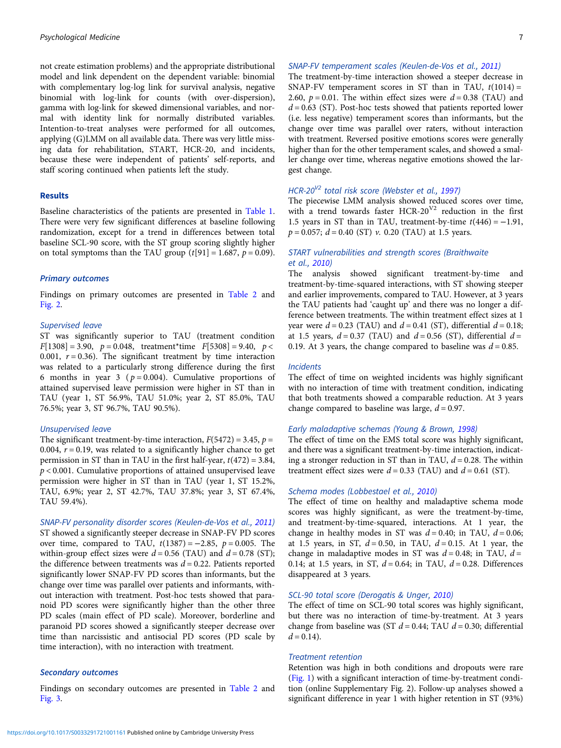not create estimation problems) and the appropriate distributional model and link dependent on the dependent variable: binomial with complementary log-log link for survival analysis, negative binomial with log-link for counts (with over-dispersion), gamma with log-link for skewed dimensional variables, and normal with identity link for normally distributed variables. Intention-to-treat analyses were performed for all outcomes, applying (G)LMM on all available data. There was very little missing data for rehabilitation, START, HCR-20, and incidents, because these were independent of patients' self-reports, and staff scoring continued when patients left the study.

## Results

Baseline characteristics of the patients are presented in [Table 1.](#page-2-0) There were very few significant differences at baseline following randomization, except for a trend in differences between total baseline SCL-90 score, with the ST group scoring slightly higher on total symptoms than the TAU group  $(t[91] = 1.687, p = 0.09)$ .

#### Primary outcomes

Findings on primary outcomes are presented in [Table 2](#page-7-0) and [Fig. 2](#page-10-0).

#### Supervised leave

ST was significantly superior to TAU (treatment condition  $F[1308] = 3.90$ ,  $p = 0.048$ , treatment\*time  $F[5308] = 9.40$ ,  $p <$ 0.001,  $r = 0.36$ ). The significant treatment by time interaction was related to a particularly strong difference during the first 6 months in year 3 ( $p = 0.004$ ). Cumulative proportions of attained supervised leave permission were higher in ST than in TAU (year 1, ST 56.9%, TAU 51.0%; year 2, ST 85.0%, TAU 76.5%; year 3, ST 96.7%, TAU 90.5%).

## Unsupervised leave

The significant treatment-by-time interaction,  $F(5472) = 3.45$ ,  $p =$ 0.004,  $r = 0.19$ , was related to a significantly higher chance to get permission in ST than in TAU in the first half-year,  $t(472) = 3.84$ ,  $p < 0.001$ . Cumulative proportions of attained unsupervised leave permission were higher in ST than in TAU (year 1, ST 15.2%, TAU, 6.9%; year 2, ST 42.7%, TAU 37.8%; year 3, ST 67.4%, TAU 59.4%).

SNAP-FV personality disorder scores (Keulen-de-Vos et al., [2011](#page-13-0)) ST showed a significantly steeper decrease in SNAP-FV PD scores over time, compared to TAU,  $t(1387) = -2.85$ ,  $p = 0.005$ . The within-group effect sizes were  $d = 0.56$  (TAU) and  $d = 0.78$  (ST); the difference between treatments was  $d = 0.22$ . Patients reported significantly lower SNAP-FV PD scores than informants, but the change over time was parallel over patients and informants, without interaction with treatment. Post-hoc tests showed that paranoid PD scores were significantly higher than the other three PD scales (main effect of PD scale). Moreover, borderline and paranoid PD scores showed a significantly steeper decrease over time than narcissistic and antisocial PD scores (PD scale by time interaction), with no interaction with treatment.

## Secondary outcomes

Findings on secondary outcomes are presented in [Table 2](#page-7-0) and [Fig. 3](#page-11-0).

#### SNAP-FV temperament scales (Keulen-de-Vos et al., [2011](#page-13-0))

The treatment-by-time interaction showed a steeper decrease in SNAP-FV temperament scores in ST than in TAU,  $t(1014) =$ 2.60,  $p = 0.01$ . The within effect sizes were  $d = 0.38$  (TAU) and  $d = 0.63$  (ST). Post-hoc tests showed that patients reported lower (i.e. less negative) temperament scores than informants, but the change over time was parallel over raters, without interaction with treatment. Reversed positive emotions scores were generally higher than for the other temperament scales, and showed a smaller change over time, whereas negative emotions showed the largest change.

## HCR-20<sup>V2</sup> total risk score (Webster et al., [1997\)](#page-14-0)

The piecewise LMM analysis showed reduced scores over time, with a trend towards faster HCR-20<sup>V2</sup> reduction in the first 1.5 years in ST than in TAU, treatment-by-time  $t(446) = -1.91$ ,  $p = 0.057$ ;  $d = 0.40$  (ST) v. 0.20 (TAU) at 1.5 years.

## START vulnerabilities and strength scores (Braithwaite et al., [2010](#page-12-0))

The analysis showed significant treatment-by-time and treatment-by-time-squared interactions, with ST showing steeper and earlier improvements, compared to TAU. However, at 3 years the TAU patients had 'caught up' and there was no longer a difference between treatments. The within treatment effect sizes at 1 year were  $d = 0.23$  (TAU) and  $d = 0.41$  (ST), differential  $d = 0.18$ ; at 1.5 years,  $d = 0.37$  (TAU) and  $d = 0.56$  (ST), differential  $d =$ 0.19. At 3 years, the change compared to baseline was  $d = 0.85$ .

## **Incidents**

The effect of time on weighted incidents was highly significant with no interaction of time with treatment condition, indicating that both treatments showed a comparable reduction. At 3 years change compared to baseline was large,  $d = 0.97$ .

## Early maladaptive schemas (Young & Brown, [1998](#page-14-0))

The effect of time on the EMS total score was highly significant, and there was a significant treatment-by-time interaction, indicating a stronger reduction in ST than in TAU,  $d = 0.28$ . The within treatment effect sizes were  $d = 0.33$  (TAU) and  $d = 0.61$  (ST).

## Schema modes (Lobbestael et al., [2010](#page-13-0))

The effect of time on healthy and maladaptive schema mode scores was highly significant, as were the treatment-by-time, and treatment-by-time-squared, interactions. At 1 year, the change in healthy modes in ST was  $d = 0.40$ ; in TAU,  $d = 0.06$ ; at 1.5 years, in ST,  $d = 0.50$ , in TAU,  $d = 0.15$ . At 1 year, the change in maladaptive modes in ST was  $d = 0.48$ ; in TAU,  $d =$ 0.14; at 1.5 years, in ST,  $d = 0.64$ ; in TAU,  $d = 0.28$ . Differences disappeared at 3 years.

### SCL-90 total score (Derogatis & Unger, [2010\)](#page-13-0)

The effect of time on SCL-90 total scores was highly significant, but there was no interaction of time-by-treatment. At 3 years change from baseline was (ST  $d = 0.44$ ; TAU  $d = 0.30$ ; differential  $d = 0.14$ .

#### Treatment retention

Retention was high in both conditions and dropouts were rare [\(Fig. 1\)](#page-4-0) with a significant interaction of time-by-treatment condition (online Supplementary Fig. 2). Follow-up analyses showed a significant difference in year 1 with higher retention in ST (93%)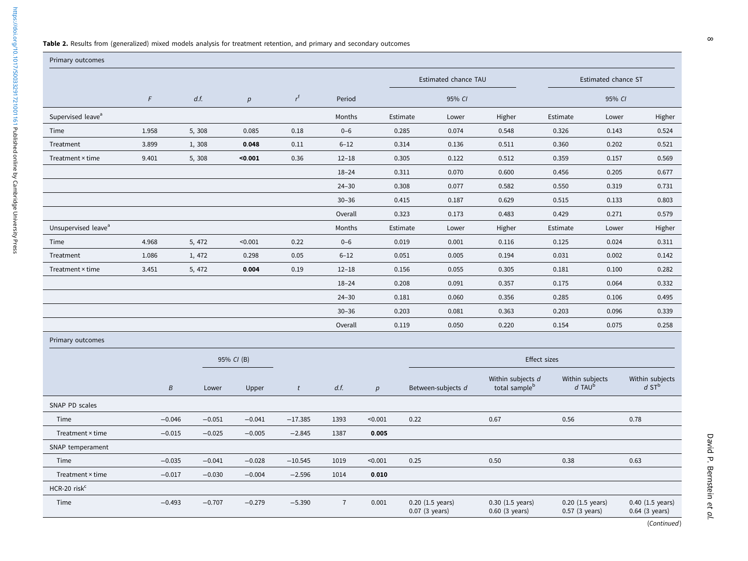#### <span id="page-7-0"></span>Table 2. Results from (generalized) mixed models analysis for treatment retention, and primary and secondary outcomes

| Primary outcomes                |                  |          |            |                |                |                 |          |                                    |                                                |                                                |        |                                                |
|---------------------------------|------------------|----------|------------|----------------|----------------|-----------------|----------|------------------------------------|------------------------------------------------|------------------------------------------------|--------|------------------------------------------------|
|                                 |                  |          |            |                |                |                 |          | Estimated chance TAU               |                                                | Estimated chance ST                            |        |                                                |
|                                 | $\digamma$       | d.f.     | p          | $r^{\rm f}$    | Period         |                 |          | 95% CI                             |                                                |                                                | 95% CI |                                                |
| Supervised leave <sup>a</sup>   |                  |          |            |                | Months         |                 | Estimate | Lower                              | Higher                                         | Estimate                                       | Lower  | Higher                                         |
| Time                            | 1.958            | 5,308    | 0.085      | 0.18           | $0 - 6$        |                 | 0.285    | 0.074                              | 0.548                                          | 0.326                                          | 0.143  | 0.524                                          |
| Treatment                       | 3.899            | 1,308    | 0.048      | 0.11           | $6 - 12$       |                 | 0.314    | 0.136                              | 0.511                                          | 0.360                                          | 0.202  | 0.521                                          |
| Treatment × time                | 9.401            | 5,308    | $0.001$    | 0.36           | $12 - 18$      |                 | 0.305    | 0.122                              | 0.512                                          | 0.359                                          | 0.157  | 0.569                                          |
|                                 |                  |          |            |                | $18 - 24$      |                 | 0.311    | 0.070                              | 0.600                                          | 0.456                                          | 0.205  | 0.677                                          |
|                                 |                  |          |            |                | $24 - 30$      |                 | 0.308    | 0.077                              | 0.582                                          | 0.550                                          | 0.319  | 0.731                                          |
|                                 |                  |          |            |                | $30 - 36$      |                 | 0.415    | 0.187                              | 0.629                                          | 0.515                                          | 0.133  | 0.803                                          |
|                                 |                  |          |            |                | Overall        |                 | 0.323    | 0.173                              | 0.483                                          | 0.429                                          | 0.271  | 0.579                                          |
| Unsupervised leave <sup>a</sup> |                  |          |            |                | Months         |                 | Estimate | Lower                              | Higher                                         | Estimate                                       | Lower  | Higher                                         |
| Time                            | 4.968            | 5, 472   | < 0.001    | 0.22           | $0 - 6$        |                 | 0.019    | 0.001                              | 0.116                                          | 0.125                                          | 0.024  | 0.311                                          |
| Treatment                       | 1.086            | 1, 472   | 0.298      | 0.05           | $6 - 12$       |                 | 0.051    | 0.005                              | 0.194                                          | 0.031                                          | 0.002  | 0.142                                          |
| Treatment × time                | 3.451            | 5, 472   | 0.004      | 0.19           | $12 - 18$      |                 | 0.156    | 0.055                              | 0.305                                          | 0.181                                          | 0.100  | 0.282                                          |
|                                 |                  |          |            |                | $18 - 24$      |                 | 0.208    | 0.091                              | 0.357                                          | 0.175                                          | 0.064  | 0.332                                          |
|                                 |                  |          |            |                | $24 - 30$      |                 | 0.181    | 0.060                              | 0.356                                          | 0.285                                          | 0.106  | 0.495                                          |
|                                 |                  |          |            |                | $30 - 36$      |                 | 0.203    | 0.081                              | 0.363                                          | 0.203                                          | 0.096  | 0.339                                          |
|                                 |                  |          |            |                | Overall        |                 | 0.119    | 0.050                              | 0.220                                          | 0.154                                          | 0.075  | 0.258                                          |
| Primary outcomes                |                  |          |            |                |                |                 |          |                                    |                                                |                                                |        |                                                |
|                                 |                  |          | 95% CI (B) |                |                |                 |          |                                    |                                                | Effect sizes                                   |        |                                                |
|                                 | $\boldsymbol{B}$ | Lower    | Upper      | $\mathfrak{r}$ | d.f.           | $p_{\parallel}$ |          | Between-subjects d                 | Within subjects d<br>total sample <sup>b</sup> | Within subjects<br>$d$ TAU <sup>b</sup>        |        | Within subjects<br>$d$ ST <sup>b</sup>         |
| SNAP PD scales                  |                  |          |            |                |                |                 |          |                                    |                                                |                                                |        |                                                |
| Time                            | $-0.046$         | $-0.051$ | $-0.041$   | $-17.385$      | 1393           | < 0.001         | 0.22     |                                    | 0.67                                           | 0.56                                           |        | 0.78                                           |
| Treatment × time                | $-0.015$         | $-0.025$ | $-0.005$   | $-2.845$       | 1387           | 0.005           |          |                                    |                                                |                                                |        |                                                |
| SNAP temperament                |                  |          |            |                |                |                 |          |                                    |                                                |                                                |        |                                                |
| Time                            | $-0.035$         | $-0.041$ | $-0.028$   | $-10.545$      | 1019           | < 0.001         | 0.25     |                                    | 0.50                                           | 0.38                                           |        | 0.63                                           |
| Treatment × time                | $-0.017$         | $-0.030$ | $-0.004$   | $-2.596$       | 1014           | 0.010           |          |                                    |                                                |                                                |        |                                                |
| HCR-20 risk <sup>c</sup>        |                  |          |            |                |                |                 |          |                                    |                                                |                                                |        |                                                |
| Time                            | $-0.493$         | $-0.707$ | $-0.279$   | $-5.390$       | $\overline{7}$ | 0.001           |          | 0.20 (1.5 years)<br>0.07 (3 years) | $0.30$ $(1.5 \text{ years})$<br>0.60 (3 years) | $0.20$ $(1.5 \text{ years})$<br>0.57 (3 years) |        | $0.40$ $(1.5 \text{ years})$<br>0.64 (3 years) |

(Continued)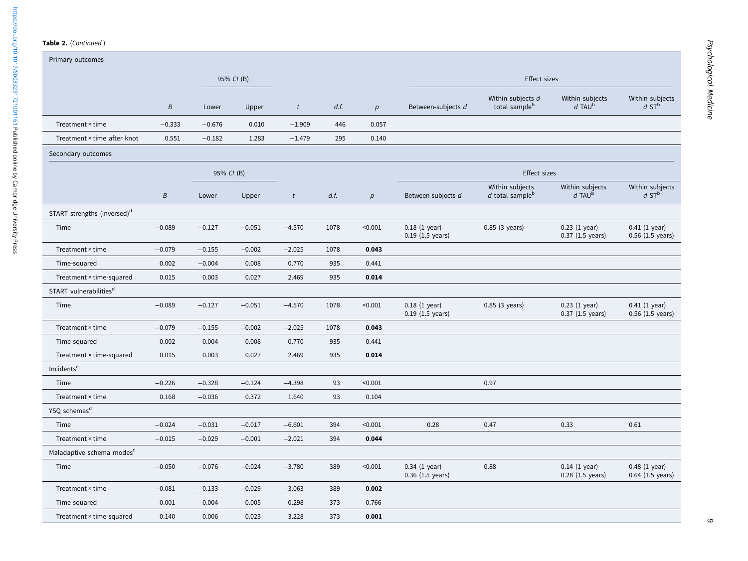#### Table 2. (Continued.)

https://doi.org/10.1017/50033291721001161 Published online by Cambridge University Press <https://doi.org/10.1017/S0033291721001161>Published online by Cambridge University Press

| Primary outcomes                        |          |            |            |                |      |                  |                                                 |                                                  |                                         |                                                 |  |
|-----------------------------------------|----------|------------|------------|----------------|------|------------------|-------------------------------------------------|--------------------------------------------------|-----------------------------------------|-------------------------------------------------|--|
|                                         |          |            | 95% CI (B) |                |      |                  | <b>Effect sizes</b>                             |                                                  |                                         |                                                 |  |
|                                         | Β        | Lower      | Upper      | t              | d.f. | p                | Between-subjects d                              | Within subjects d<br>total sample <sup>b</sup>   | Within subjects<br>$d$ TAU <sup>b</sup> | Within subjects<br>$d$ ST <sup>b</sup>          |  |
| Treatment × time                        | $-0.333$ | $-0.676$   | 0.010      | $-1.909$       | 446  | 0.057            |                                                 |                                                  |                                         |                                                 |  |
| Treatment × time after knot             | 0.551    | $-0.182$   | 1.283      | $-1.479$       | 295  | 0.140            |                                                 |                                                  |                                         |                                                 |  |
| Secondary outcomes                      |          |            |            |                |      |                  |                                                 |                                                  |                                         |                                                 |  |
|                                         |          | 95% CI (B) |            |                |      |                  | <b>Effect sizes</b>                             |                                                  |                                         |                                                 |  |
|                                         | B        | Lower      | Upper      | $\mathfrak{r}$ | d.f. | $\boldsymbol{p}$ | Between-subjects d                              | Within subjects<br>$d$ total sample <sup>b</sup> | Within subjects<br>$d$ TAU <sup>b</sup> | Within subjects<br>$d$ ST <sup>b</sup>          |  |
| START strengths (inversed) <sup>d</sup> |          |            |            |                |      |                  |                                                 |                                                  |                                         |                                                 |  |
| Time                                    | $-0.089$ | $-0.127$   | $-0.051$   | $-4.570$       | 1078 | < 0.001          | $0.18$ (1 year)<br>$0.19$ $(1.5 \text{ years})$ | 0.85 (3 years)                                   | $0.23$ (1 year)<br>0.37 (1.5 years)     | $0.41$ (1 year)<br>$0.56$ $(1.5 \text{ years})$ |  |
| Treatment × time                        | $-0.079$ | $-0.155$   | $-0.002$   | $-2.025$       | 1078 | 0.043            |                                                 |                                                  |                                         |                                                 |  |
| Time-squared                            | 0.002    | $-0.004$   | 0.008      | 0.770          | 935  | 0.441            |                                                 |                                                  |                                         |                                                 |  |
| Treatment × time-squared                | 0.015    | 0.003      | 0.027      | 2.469          | 935  | 0.014            |                                                 |                                                  |                                         |                                                 |  |
| START vulnerabilities <sup>d</sup>      |          |            |            |                |      |                  |                                                 |                                                  |                                         |                                                 |  |
| Time                                    | $-0.089$ | $-0.127$   | $-0.051$   | $-4.570$       | 1078 | < 0.001          | $0.18$ (1 year)<br>$0.19$ (1.5 years)           | 0.85 (3 years)                                   | $0.23$ (1 year)<br>$0.37$ (1.5 years)   | $0.41$ (1 year)<br>$0.56$ (1.5 years)           |  |
| Treatment × time                        | $-0.079$ | $-0.155$   | $-0.002$   | $-2.025$       | 1078 | 0.043            |                                                 |                                                  |                                         |                                                 |  |
| Time-squared                            | 0.002    | $-0.004$   | 0.008      | 0.770          | 935  | 0.441            |                                                 |                                                  |                                         |                                                 |  |
| Treatment × time-squared                | 0.015    | 0.003      | 0.027      | 2.469          | 935  | 0.014            |                                                 |                                                  |                                         |                                                 |  |
| Incidents <sup>e</sup>                  |          |            |            |                |      |                  |                                                 |                                                  |                                         |                                                 |  |
| Time                                    | $-0.226$ | $-0.328$   | $-0.124$   | $-4.398$       | 93   | < 0.001          |                                                 | 0.97                                             |                                         |                                                 |  |
| Treatment × time                        | 0.168    | $-0.036$   | 0.372      | 1.640          | 93   | 0.104            |                                                 |                                                  |                                         |                                                 |  |
| YSQ schemas <sup>d</sup>                |          |            |            |                |      |                  |                                                 |                                                  |                                         |                                                 |  |
| Time                                    | $-0.024$ | $-0.031$   | $-0.017$   | $-6.601$       | 394  | < 0.001          | 0.28                                            | 0.47                                             | 0.33                                    | 0.61                                            |  |
| Treatment × time                        | $-0.015$ | $-0.029$   | $-0.001$   | $-2.021$       | 394  | 0.044            |                                                 |                                                  |                                         |                                                 |  |
| Maladaptive schema modes <sup>d</sup>   |          |            |            |                |      |                  |                                                 |                                                  |                                         |                                                 |  |
| Time                                    | $-0.050$ | $-0.076$   | $-0.024$   | $-3.780$       | 389  | < 0.001          | $0.34$ (1 year)<br>0.36 (1.5 years)             | 0.88                                             | $0.14$ (1 year)<br>$0.28$ (1.5 years)   | $0.48$ (1 year)<br>0.64 (1.5 years)             |  |
| Treatment × time                        | $-0.081$ | $-0.133$   | $-0.029$   | $-3.063$       | 389  | 0.002            |                                                 |                                                  |                                         |                                                 |  |
| Time-squared                            | 0.001    | $-0.004$   | 0.005      | 0.298          | 373  | 0.766            |                                                 |                                                  |                                         |                                                 |  |
| Treatment × time-squared                | 0.140    | 0.006      | 0.023      | 3.228          | 373  | 0.001            |                                                 |                                                  |                                         |                                                 |  |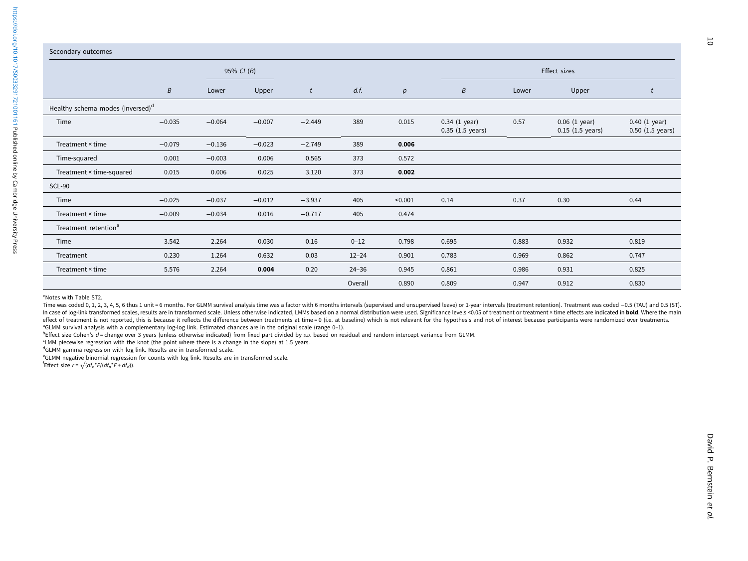|                                              | 95% CI (B)       |          |          |          |           |         | Effect sizes                                  |       |                                              |                                                 |  |
|----------------------------------------------|------------------|----------|----------|----------|-----------|---------|-----------------------------------------------|-------|----------------------------------------------|-------------------------------------------------|--|
|                                              | $\boldsymbol{B}$ | Lower    | Upper    | t        | d.f.      | p       | $\boldsymbol{B}$                              | Lower | Upper                                        |                                                 |  |
| Healthy schema modes (inversed) <sup>d</sup> |                  |          |          |          |           |         |                                               |       |                                              |                                                 |  |
| Time                                         | $-0.035$         | $-0.064$ | $-0.007$ | $-2.449$ | 389       | 0.015   | 0.34 (1 year)<br>$0.35$ $(1.5 \text{ years})$ | 0.57  | 0.06(1 year)<br>$0.15$ $(1.5 \text{ years})$ | $0.40$ (1 year)<br>$0.50$ $(1.5 \text{ years})$ |  |
| Treatment × time                             | $-0.079$         | $-0.136$ | $-0.023$ | $-2.749$ | 389       | 0.006   |                                               |       |                                              |                                                 |  |
| Time-squared                                 | 0.001            | $-0.003$ | 0.006    | 0.565    | 373       | 0.572   |                                               |       |                                              |                                                 |  |
| Treatment × time-squared                     | 0.015            | 0.006    | 0.025    | 3.120    | 373       | 0.002   |                                               |       |                                              |                                                 |  |
| <b>SCL-90</b>                                |                  |          |          |          |           |         |                                               |       |                                              |                                                 |  |
| Time                                         | $-0.025$         | $-0.037$ | $-0.012$ | $-3.937$ | 405       | < 0.001 | 0.14                                          | 0.37  | 0.30                                         | 0.44                                            |  |
| Treatment × time                             | $-0.009$         | $-0.034$ | 0.016    | $-0.717$ | 405       | 0.474   |                                               |       |                                              |                                                 |  |
| Treatment retention <sup>a</sup>             |                  |          |          |          |           |         |                                               |       |                                              |                                                 |  |
| Time                                         | 3.542            | 2.264    | 0.030    | 0.16     | $0 - 12$  | 0.798   | 0.695                                         | 0.883 | 0.932                                        | 0.819                                           |  |
| Treatment                                    | 0.230            | 1.264    | 0.632    | 0.03     | $12 - 24$ | 0.901   | 0.783                                         | 0.969 | 0.862                                        | 0.747                                           |  |
| Treatment × time                             | 5.576            | 2.264    | 0.004    | 0.20     | $24 - 36$ | 0.945   | 0.861                                         | 0.986 | 0.931                                        | 0.825                                           |  |
|                                              |                  |          |          |          | Overall   | 0.890   | 0.809                                         | 0.947 | 0.912                                        | 0.830                                           |  |

\*Notes with Table ST2.

Time was coded 0, 1, 2, 3, 4, 5, 6 thus 1 unit = 6 months. For GLMM survival analysis time was a factor with 6 months intervals (supervised and unsupervised leave) or 1-year intervals (treatment retention). Treatment was c In case of log-link transformed scales, results are in transformed scale. Unless otherwise indicated, LMMs based on a normal distribution were used. Significance levels <0.05 of treatment or treatment × time effects are in effect of treatment is not reported, this is because it reflects the difference between treatments at time = 0 (i.e. at baseline) which is not relevant for the hypothesis and not of interest because participants were rando aGLMM survival analysis with a complementary log-log link. Estimated chances are in the original scale (range 0-1).

bEffect size Cohen's d = change over 3 years (unless otherwise indicated) from fixed part divided by s.p. based on residual and random intercept variance from GLMM.

cLMM piecewise regression with the knot (the point where there is <sup>a</sup> change in the slope) at 1.5 years.

dGLMM gamma regression with log link. Results are in transformed scale.

eGLMM negative binomial regression for counts with log link. Results are in transformed scale.

<sup>f</sup>Effect size  $r = \sqrt{(df_n * F/(df_n * F + df_d))}$ .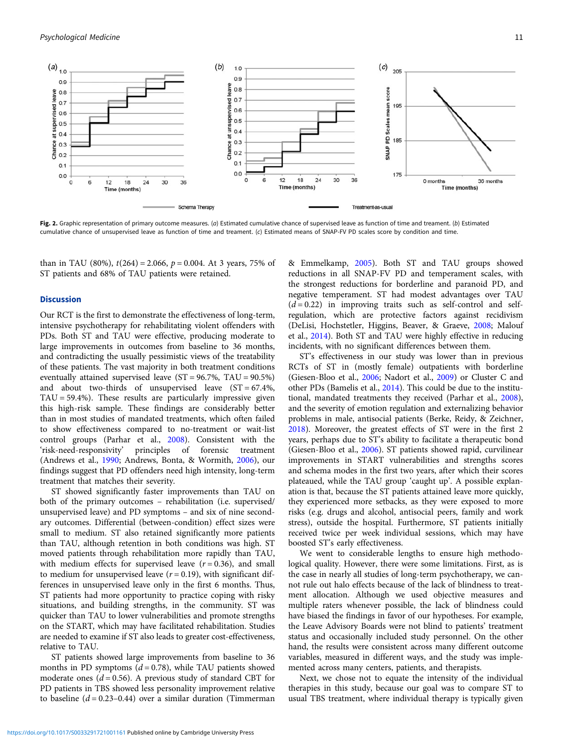<span id="page-10-0"></span>

Fig. 2. Graphic representation of primary outcome measures. (a) Estimated cumulative chance of supervised leave as function of time and treament. (b) Estimated cumulative chance of unsupervised leave as function of time and treament. (c) Estimated means of SNAP-FV PD scales score by condition and time.

than in TAU (80%),  $t(264) = 2.066$ ,  $p = 0.004$ . At 3 years, 75% of ST patients and 68% of TAU patients were retained.

## **Discussion**

Our RCT is the first to demonstrate the effectiveness of long-term, intensive psychotherapy for rehabilitating violent offenders with PDs. Both ST and TAU were effective, producing moderate to large improvements in outcomes from baseline to 36 months, and contradicting the usually pessimistic views of the treatability of these patients. The vast majority in both treatment conditions eventually attained supervised leave (ST = 96.7%, TAU = 90.5%) and about two-thirds of unsupervised leave  $(ST = 67.4\%$ ,  $TAU = 59.4\%$ ). These results are particularly impressive given this high-risk sample. These findings are considerably better than in most studies of mandated treatments, which often failed to show effectiveness compared to no-treatment or wait-list control groups (Parhar et al., [2008](#page-13-0)). Consistent with the 'risk-need-responsivity' principles of forensic treatment (Andrews et al., [1990](#page-12-0); Andrews, Bonta, & Wormith, [2006\)](#page-12-0), our findings suggest that PD offenders need high intensity, long-term treatment that matches their severity.

ST showed significantly faster improvements than TAU on both of the primary outcomes – rehabilitation (i.e. supervised/ unsupervised leave) and PD symptoms – and six of nine secondary outcomes. Differential (between-condition) effect sizes were small to medium. ST also retained significantly more patients than TAU, although retention in both conditions was high. ST moved patients through rehabilitation more rapidly than TAU, with medium effects for supervised leave  $(r = 0.36)$ , and small to medium for unsupervised leave  $(r = 0.19)$ , with significant differences in unsupervised leave only in the first 6 months. Thus, ST patients had more opportunity to practice coping with risky situations, and building strengths, in the community. ST was quicker than TAU to lower vulnerabilities and promote strengths on the START, which may have facilitated rehabilitation. Studies are needed to examine if ST also leads to greater cost-effectiveness, relative to TAU.

ST patients showed large improvements from baseline to 36 months in PD symptoms  $(d = 0.78)$ , while TAU patients showed moderate ones  $(d = 0.56)$ . A previous study of standard CBT for PD patients in TBS showed less personality improvement relative to baseline  $(d = 0.23 - 0.44)$  over a similar duration (Timmerman

& Emmelkamp, [2005](#page-14-0)). Both ST and TAU groups showed reductions in all SNAP-FV PD and temperament scales, with the strongest reductions for borderline and paranoid PD, and negative temperament. ST had modest advantages over TAU  $(d=0.22)$  in improving traits such as self-control and selfregulation, which are protective factors against recidivism (DeLisi, Hochstetler, Higgins, Beaver, & Graeve, [2008](#page-13-0); Malouf et al., [2014](#page-13-0)). Both ST and TAU were highly effective in reducing incidents, with no significant differences between them.

ST's effectiveness in our study was lower than in previous RCTs of ST in (mostly female) outpatients with borderline (Giesen-Bloo et al., [2006;](#page-13-0) Nadort et al., [2009](#page-13-0)) or Cluster C and other PDs (Bamelis et al., [2014](#page-12-0)). This could be due to the institutional, mandated treatments they received (Parhar et al., [2008](#page-13-0)), and the severity of emotion regulation and externalizing behavior problems in male, antisocial patients (Berke, Reidy, & Zeichner, [2018](#page-12-0)). Moreover, the greatest effects of ST were in the first 2 years, perhaps due to ST's ability to facilitate a therapeutic bond (Giesen-Bloo et al., [2006](#page-13-0)). ST patients showed rapid, curvilinear improvements in START vulnerabilities and strengths scores and schema modes in the first two years, after which their scores plateaued, while the TAU group 'caught up'. A possible explanation is that, because the ST patients attained leave more quickly, they experienced more setbacks, as they were exposed to more risks (e.g. drugs and alcohol, antisocial peers, family and work stress), outside the hospital. Furthermore, ST patients initially received twice per week individual sessions, which may have boosted ST's early effectiveness.

We went to considerable lengths to ensure high methodological quality. However, there were some limitations. First, as is the case in nearly all studies of long-term psychotherapy, we cannot rule out halo effects because of the lack of blindness to treatment allocation. Although we used objective measures and multiple raters whenever possible, the lack of blindness could have biased the findings in favor of our hypotheses. For example, the Leave Advisory Boards were not blind to patients' treatment status and occasionally included study personnel. On the other hand, the results were consistent across many different outcome variables, measured in different ways, and the study was implemented across many centers, patients, and therapists.

Next, we chose not to equate the intensity of the individual therapies in this study, because our goal was to compare ST to usual TBS treatment, where individual therapy is typically given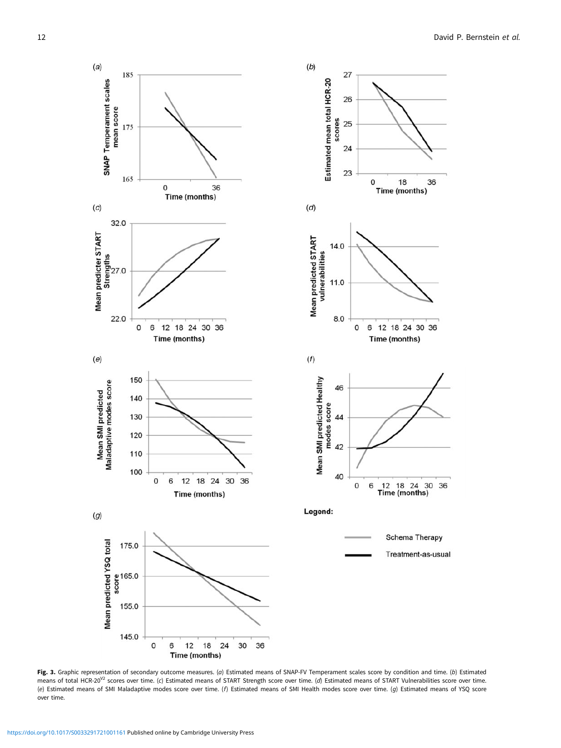27

26

24

23

 $4.0$ 1

 $11.0$ 

8.0

46

44

42

40

 $\mathsf{o}$ 6

 $\circ$ 6

0

18

Time (months)

12 18 24 30 36

12 18 24 30<br>Time (months)

Schema Therapy

Treatment-as-usual

36

Time (months)

36

scores 25

<span id="page-11-0"></span>

Fig. 3. Graphic representation of secondary outcome measures. (a) Estimated means of SNAP-FV Temperament scales score by condition and time. (b) Estimated means of total HCR-20<sup>V2</sup> scores over time. (c) Estimated means of START Strength score over time. (d) Estimated means of START Vulnerabilities score over time. (e) Estimated means of SMI Maladaptive modes score over time. (f) Estimated means of SMI Health modes score over time. (g) Estimated means of YSQ score over time.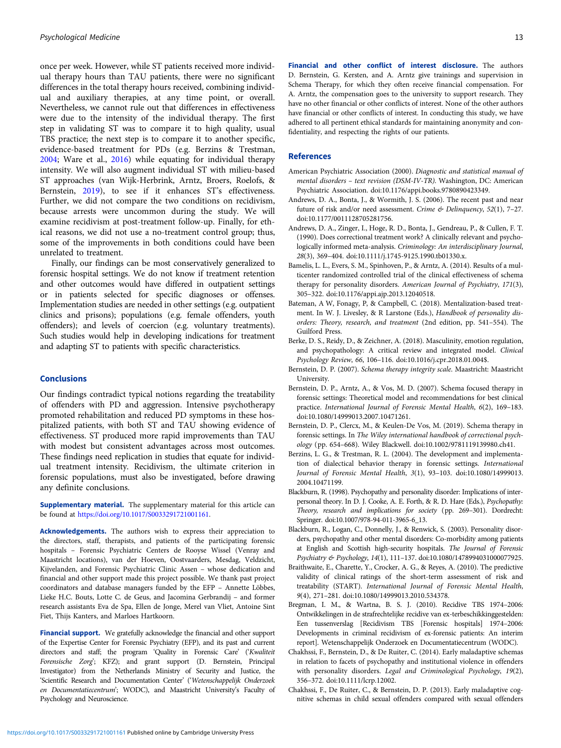<span id="page-12-0"></span>once per week. However, while ST patients received more individual therapy hours than TAU patients, there were no significant differences in the total therapy hours received, combining individual and auxiliary therapies, at any time point, or overall. Nevertheless, we cannot rule out that differences in effectiveness were due to the intensity of the individual therapy. The first step in validating ST was to compare it to high quality, usual TBS practice; the next step is to compare it to another specific, evidence-based treatment for PDs (e.g. Berzins & Trestman, 2004; Ware et al., [2016](#page-14-0)) while equating for individual therapy intensity. We will also augment individual ST with milieu-based ST approaches (van Wijk-Herbrink, Arntz, Broers, Roelofs, & Bernstein, [2019](#page-14-0)), to see if it enhances ST's effectiveness. Further, we did not compare the two conditions on recidivism, because arrests were uncommon during the study. We will examine recidivism at post-treatment follow-up. Finally, for ethical reasons, we did not use a no-treatment control group; thus, some of the improvements in both conditions could have been unrelated to treatment.

Finally, our findings can be most conservatively generalized to forensic hospital settings. We do not know if treatment retention and other outcomes would have differed in outpatient settings or in patients selected for specific diagnoses or offenses. Implementation studies are needed in other settings (e.g. outpatient clinics and prisons); populations (e.g. female offenders, youth offenders); and levels of coercion (e.g. voluntary treatments). Such studies would help in developing indications for treatment and adapting ST to patients with specific characteristics.

## **Conclusions**

Our findings contradict typical notions regarding the treatability of offenders with PD and aggression. Intensive psychotherapy promoted rehabilitation and reduced PD symptoms in these hospitalized patients, with both ST and TAU showing evidence of effectiveness. ST produced more rapid improvements than TAU with modest but consistent advantages across most outcomes. These findings need replication in studies that equate for individual treatment intensity. Recidivism, the ultimate criterion in forensic populations, must also be investigated, before drawing any definite conclusions.

Supplementary material. The supplementary material for this article can be found at [https://doi.org/10.1017/S0033291721001161.](https://doi.org/10.1017/S0033291721001161)

Acknowledgements. The authors wish to express their appreciation to the directors, staff, therapists, and patients of the participating forensic hospitals – Forensic Psychiatric Centers de Rooyse Wissel (Venray and Maastricht locations), van der Hoeven, Oostvaarders, Mesdag, Veldzicht, Kijvelanden, and Forensic Psychiatric Clinic Assen – whose dedication and financial and other support made this project possible. We thank past project coordinators and database managers funded by the EFP – Annette Löbbes, Lieke H.C. Bouts, Lotte C. de Geus, and Jacomina Gerbrandij – and former research assistants Eva de Spa, Ellen de Jonge, Merel van Vliet, Antoine Sint Fiet, Thijs Kanters, and Marloes Hartkoorn.

Financial support. We gratefully acknowledge the financial and other support of the Expertise Center for Forensic Psychiatry (EFP), and its past and current directors and staff; the program 'Quality in Forensic Care' ('Kwaliteit Forensische Zorg'; KFZ); and grant support (D. Bernstein, Principal Investigator) from the Netherlands Ministry of Security and Justice, the 'Scientific Research and Documentation Center' ('Wetenschappelijk Onderzoek en Documentatiecentrum'; WODC), and Maastricht University's Faculty of Psychology and Neuroscience.

have no other financial or other conflicts of interest. None of the other authors have financial or other conflicts of interest. In conducting this study, we have adhered to all pertinent ethical standards for maintaining anonymity and confidentiality, and respecting the rights of our patients.

#### References

- American Psychiatric Association (2000). Diagnostic and statistical manual of mental disorders – text revision (DSM-IV-TR). Washington, DC: American Psychiatric Association. doi:10.1176/appi.books.9780890423349.
- Andrews, D. A., Bonta, J., & Wormith, J. S. (2006). The recent past and near future of risk and/or need assessment. Crime & Delinquency, 52(1), 7-27. doi:10.1177/0011128705281756.
- Andrews, D. A., Zinger, I., Hoge, R. D., Bonta, J., Gendreau, P., & Cullen, F. T. (1990). Does correctional treatment work? A clinically relevant and psychologically informed meta-analysis. Criminology: An interdisciplinary Journal, 28(3), 369–404. doi:10.1111/j.1745-9125.1990.tb01330.x.
- Bamelis, L. L., Evers, S. M., Spinhoven, P., & Arntz, A. (2014). Results of a multicenter randomized controlled trial of the clinical effectiveness of schema therapy for personality disorders. American Journal of Psychiatry, 171(3), 305–322. doi:10.1176/appi.ajp.2013.12040518.
- Bateman, A W, Fonagy, P, & Campbell, C. (2018). Mentalization-based treatment. In W. J. Livesley, & R Larstone (Eds.), Handbook of personality disorders: Theory, research, and treatment (2nd edition, pp. 541–554). The Guilford Press.
- Berke, D. S., Reidy, D., & Zeichner, A. (2018). Masculinity, emotion regulation, and psychopathology: A critical review and integrated model. Clinical Psychology Review, 66, 106–116. doi:10.1016/j.cpr.2018.01.004\$.
- Bernstein, D. P. (2007). Schema therapy integrity scale. Maastricht: Maastricht University.
- Bernstein, D. P., Arntz, A., & Vos, M. D. (2007). Schema focused therapy in forensic settings: Theoretical model and recommendations for best clinical practice. International Journal of Forensic Mental Health, 6(2), 169–183. doi:10.1080/14999013.2007.10471261.
- Bernstein, D. P., Clercx, M., & Keulen-De Vos, M. (2019). Schema therapy in forensic settings. In The Wiley international handbook of correctional psychology (pp. 654–668). Wiley Blackwell. doi:10.1002/9781119139980.ch41.
- Berzins, L. G., & Trestman, R. L. (2004). The development and implementation of dialectical behavior therapy in forensic settings. International Journal of Forensic Mental Health, 3(1), 93–103. doi:10.1080/14999013. 2004.10471199.
- Blackburn, R. (1998). Psychopathy and personality disorder: Implications of interpersonal theory. In D. J. Cooke, A. E. Forth, & R. D. Hare (Eds.), Psychopathy: Theory, research and implications for society (pp. 269–301). Dordrecht: Springer. doi:10.1007/978-94-011-3965-6\_13.
- Blackburn, R., Logan, C., Donnelly, J., & Renwick, S. (2003). Personality disorders, psychopathy and other mental disorders: Co-morbidity among patients at English and Scottish high-security hospitals. The Journal of Forensic Psychiatry & Psychology, 14(1), 111–137. doi:10.1080/1478994031000077925.
- Braithwaite, E., Charette, Y., Crocker, A. G., & Reyes, A. (2010). The predictive validity of clinical ratings of the short-term assessment of risk and treatability (START). International Journal of Forensic Mental Health, 9(4), 271–281. doi:10.1080/14999013.2010.534378.
- Bregman, I. M., & Wartna, B. S. J. (2010). Recidive TBS 1974–2006: Ontwikkelingen in de strafrechtelijke recidive van ex-terbeschikkinggestelden: Een tussenverslag [Recidivism TBS [Forensic hospitals] 1974–2006: Developments in criminal recidivism of ex-forensic patients: An interim report]. Wetenschappelijk Onderzoek en Documentatiecentrum (WODC).
- Chakhssi, F., Bernstein, D., & De Ruiter, C. (2014). Early maladaptive schemas in relation to facets of psychopathy and institutional violence in offenders with personality disorders. Legal and Criminological Psychology, 19(2), 356–372. doi:10.1111/lcrp.12002.
- Chakhssi, F., De Ruiter, C., & Bernstein, D. P. (2013). Early maladaptive cognitive schemas in child sexual offenders compared with sexual offenders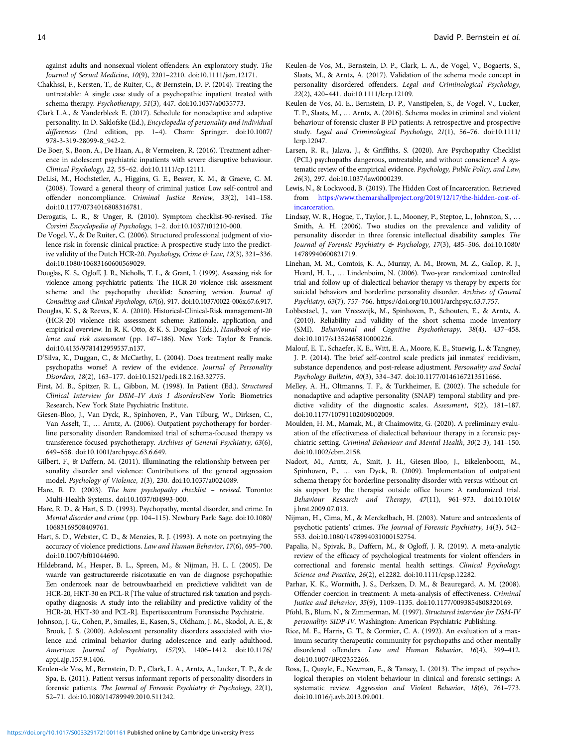<span id="page-13-0"></span>against adults and nonsexual violent offenders: An exploratory study. The Journal of Sexual Medicine, 10(9), 2201–2210. doi:10.1111/jsm.12171.

- Chakhssi, F., Kersten, T., de Ruiter, C., & Bernstein, D. P. (2014). Treating the untreatable: A single case study of a psychopathic inpatient treated with schema therapy. Psychotherapy, 51(3), 447. doi:10.1037/a0035773.
- Clark L.A., & Vanderbleek E. (2017). Schedule for nonadaptive and adaptive personality. In D. Saklofske (Ed.), Encyclopedia of personality and individual differences (2nd edition, pp. 1–4). Cham: Springer. doi:10.1007/ 978-3-319-28099-8\_942-2.
- De Boer, S., Boon, A., De Haan, A., & Vermeiren, R. (2016). Treatment adherence in adolescent psychiatric inpatients with severe disruptive behaviour. Clinical Psychology, 22, 55–62. doi:10.1111/cp.12111.
- DeLisi, M., Hochstetler, A., Higgins, G. E., Beaver, K. M., & Graeve, C. M. (2008). Toward a general theory of criminal justice: Low self-control and offender noncompliance. Criminal Justice Review, 33(2), 141–158. doi:10.1177/0734016808316781.
- Derogatis, L. R., & Unger, R. (2010). Symptom checklist-90-revised. The Corsini Encyclopedia of Psychology, 1–2. doi:10.1037/t01210-000.
- De Vogel, V., & De Ruiter, C. (2006). Structured professional judgment of violence risk in forensic clinical practice: A prospective study into the predictive validity of the Dutch HCR-20. Psychology, Crime & Law, 12(3), 321-336. doi:10.1080/10683160600569029.
- Douglas, K. S., Ogloff, J. R., Nicholls, T. L., & Grant, I. (1999). Assessing risk for violence among psychiatric patients: The HCR-20 violence risk assessment scheme and the psychopathy checklist: Screening version. Journal of Consulting and Clinical Psychology, 67(6), 917. doi:10.1037/0022-006x.67.6.917.
- Douglas, K. S., & Reeves, K. A. (2010). Historical-Clinical-Risk management-20 (HCR-20) violence risk assessment scheme: Rationale, application, and empirical overview. In R. K. Otto, & K. S. Douglas (Eds.), Handbook of violence and risk assessment (pp. 147–186). New York: Taylor & Francis. doi:10.4135/9781412959537.n137.
- D'Silva, K., Duggan, C., & McCarthy, L. (2004). Does treatment really make psychopaths worse? A review of the evidence. Journal of Personality Disorders, 18(2), 163–177. doi:10.1521/pedi.18.2.163.32775.
- First, M. B., Spitzer, R. L., Gibbon, M. (1998). In Patient (Ed.). Structured Clinical Interview for DSM–IV Axis I disordersNew York: Biometrics Research, New York State Psychiatric Institute.
- Giesen-Bloo, J., Van Dyck, R., Spinhoven, P., Van Tilburg, W., Dirksen, C., Van Asselt, T., … Arntz, A. (2006). Outpatient psychotherapy for borderline personality disorder: Randomized trial of schema-focused therapy vs transference-focused psychotherapy. Archives of General Psychiatry, 63(6), 649–658. doi:10.1001/archpsyc.63.6.649.
- Gilbert, F., & Daffern, M. (2011). Illuminating the relationship between personality disorder and violence: Contributions of the general aggression model. Psychology of Violence, 1(3), 230. doi:10.1037/a0024089.
- Hare, R. D. (2003). The hare psychopathy checklist revised. Toronto: Multi-Health Systems. doi:10.1037/t04993-000.
- Hare, R. D., & Hart, S. D. (1993). Psychopathy, mental disorder, and crime. In Mental disorder and crime (pp. 104–115). Newbury Park: Sage. doi:10.1080/ 10683169508409761.
- Hart, S. D., Webster, C. D., & Menzies, R. J. (1993). A note on portraying the accuracy of violence predictions. Law and Human Behavior, 17(6), 695–700. doi:10.1007/bf01044690.
- Hildebrand, M., Hesper, B. L., Spreen, M., & Nijman, H. L. I. (2005). De waarde van gestructureerde risicotaxatie en van de diagnose psychopathie: Een onderzoek naar de betrouwbaarheid en predictieve validiteit van de HCR-20, HKT-30 en PCL-R [The value of structured risk taxation and psychopathy diagnosis: A study into the reliability and predictive validity of the HCR-20, HKT-30 and PCL-R]. Expertisecentrum Forensische Psychiatrie.
- Johnson, J. G., Cohen, P., Smailes, E., Kasen, S., Oldham, J. M., Skodol, A. E., & Brook, J. S. (2000). Adolescent personality disorders associated with violence and criminal behavior during adolescence and early adulthood. American Journal of Psychiatry, 157(9), 1406–1412. doi:10.1176/ appi.ajp.157.9.1406.
- Keulen-de Vos, M., Bernstein, D. P., Clark, L. A., Arntz, A., Lucker, T. P., & de Spa, E. (2011). Patient versus informant reports of personality disorders in forensic patients. The Journal of Forensic Psychiatry & Psychology, 22(1), 52–71. doi:10.1080/14789949.2010.511242.
- Keulen-de Vos, M., Bernstein, D. P., Clark, L. A., de Vogel, V., Bogaerts, S., Slaats, M., & Arntz, A. (2017). Validation of the schema mode concept in personality disordered offenders. Legal and Criminological Psychology, 22(2), 420–441. doi:10.1111/lcrp.12109.
- Keulen-de Vos, M. E., Bernstein, D. P., Vanstipelen, S., de Vogel, V., Lucker, T. P., Slaats, M., … Arntz, A. (2016). Schema modes in criminal and violent behaviour of forensic cluster B PD patients: A retrospective and prospective study. Legal and Criminological Psychology, 21(1), 56–76. doi:10.1111/ lcrp.12047.
- Larsen, R. R., Jalava, J., & Griffiths, S. (2020). Are Psychopathy Checklist (PCL) psychopaths dangerous, untreatable, and without conscience? A systematic review of the empirical evidence. Psychology, Public Policy, and Law, 26(3), 297. doi:10.1037/law0000239.
- Lewis, N., & Lockwood, B. (2019). The Hidden Cost of Incarceration. Retrieved from [https://www.themarshallproject.org/2019/12/17/the-hidden-cost-of](https://www.themarshallproject.org/2019/12/17/the-hidden-cost-of-incarceration)[incarceration.](https://www.themarshallproject.org/2019/12/17/the-hidden-cost-of-incarceration)
- Lindsay, W. R., Hogue, T., Taylor, J. L., Mooney, P., Steptoe, L., Johnston, S., … Smith, A. H. (2006). Two studies on the prevalence and validity of personality disorder in three forensic intellectual disability samples. The Journal of Forensic Psychiatry & Psychology, 17(3), 485–506. doi:10.1080/ 14789940600821719.
- Linehan, M. M., Comtois, K. A., Murray, A. M., Brown, M. Z., Gallop, R. J., Heard, H. L., … Lindenboim, N. (2006). Two-year randomized controlled trial and follow-up of dialectical behavior therapy vs therapy by experts for suicidal behaviors and borderline personality disorder. Archives of General Psychiatry, 63(7), 757–766. https://doi.org/10.1001/archpsyc.63.7.757.
- Lobbestael, J., van Vreeswijk, M., Spinhoven, P., Schouten, E., & Arntz, A. (2010). Reliability and validity of the short schema mode inventory (SMI). Behavioural and Cognitive Psychotherapy, 38(4), 437–458. doi:10.1017/s1352465810000226.
- Malouf, E. T., Schaefer, K. E., Witt, E. A., Moore, K. E., Stuewig, J., & Tangney, J. P. (2014). The brief self-control scale predicts jail inmates' recidivism, substance dependence, and post-release adjustment. Personality and Social Psychology Bulletin, 40(3), 334–347. doi:10.1177/0146167213511666.
- Melley, A. H., Oltmanns, T. F., & Turkheimer, E. (2002). The schedule for nonadaptive and adaptive personality (SNAP) temporal stability and predictive validity of the diagnostic scales. Assessment, 9(2), 181–187. doi:10.1177/10791102009002009.
- Moulden, H. M., Mamak, M., & Chaimowitz, G. (2020). A preliminary evaluation of the effectiveness of dialectical behaviour therapy in a forensic psychiatric setting. Criminal Behaviour and Mental Health, 30(2-3), 141–150. doi:10.1002/cbm.2158.
- Nadort, M., Arntz, A., Smit, J. H., Giesen-Bloo, J., Eikelenboom, M., Spinhoven, P., … van Dyck, R. (2009). Implementation of outpatient schema therapy for borderline personality disorder with versus without crisis support by the therapist outside office hours: A randomized trial. Behaviour Research and Therapy, 47(11), 961–973. doi:10.1016/ j.brat.2009.07.013.
- Nijman, H., Cima, M., & Merckelbach, H. (2003). Nature and antecedents of psychotic patients' crimes. The Journal of Forensic Psychiatry, 14(3), 542– 553. doi:10.1080/1478994031000152754.
- Papalia, N., Spivak, B., Daffern, M., & Ogloff, J. R. (2019). A meta-analytic review of the efficacy of psychological treatments for violent offenders in correctional and forensic mental health settings. Clinical Psychology: Science and Practice, 26(2), e12282. doi:10.1111/cpsp.12282.
- Parhar, K. K., Wormith, J. S., Derkzen, D. M., & Beauregard, A. M. (2008). Offender coercion in treatment: A meta-analysis of effectiveness. Criminal Justice and Behavior, 35(9), 1109–1135. doi:10.1177/0093854808320169.
- Pfohl, B., Blum, N., & Zimmerman, M. (1997). Structured interview for DSM-IV personality: SIDP-IV. Washington: American Psychiatric Publishing.
- Rice, M. E., Harris, G. T., & Cormier, C. A. (1992). An evaluation of a maximum security therapeutic community for psychopaths and other mentally disordered offenders. Law and Human Behavior, 16(4), 399–412. doi:10.1007/BF02352266.
- Ross, J., Quayle, E., Newman, E., & Tansey, L. (2013). The impact of psychological therapies on violent behaviour in clinical and forensic settings: A systematic review. Aggression and Violent Behavior, 18(6), 761–773. doi:10.1016/j.avb.2013.09.001.